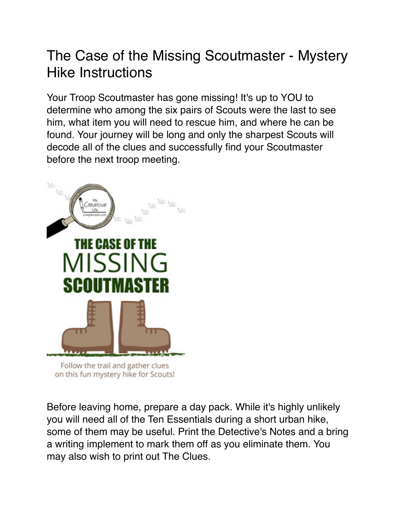## The Case of the Missing Scoutmaster - Mystery Hike Instructions

Your Troop Scoutmaster has gone missing! It's up to YOU to determine who among the six pairs of Scouts were the last to see him, what item you will need to rescue him, and where he can be found. Your journey will be long and only the sharpest Scouts will decode all of the clues and successfully find your Scoutmaster before the next troop meeting.



on this fun mystery hike for Scouts!

Before leaving home, prepare a day pack. While it's highly unlikely you will need all of the Ten Essentials during a short urban hike, some of them may be useful. Print the Detective's Notes and a bring a writing implement to mark them off as you eliminate them. You may also wish to print out The Clues.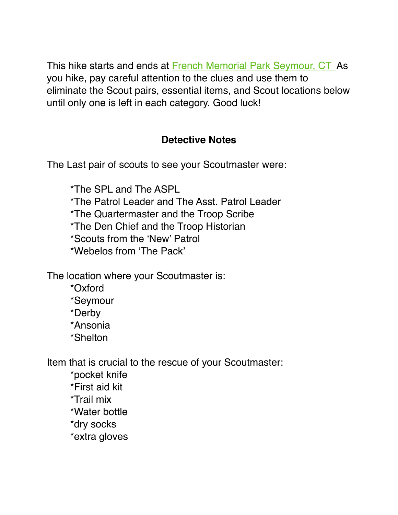This hike starts and ends at French Memorial Park Seymour, CT As you hike, pay careful attention to the clues and use them to eliminate the Scout pairs, essential items, and Scout locations below until only one is left in each category. Good luck!

## **Detective Notes**

The Last pair of scouts to see your Scoutmaster were:

\*The SPL and The ASPL \*The Patrol Leader and The Asst. Patrol Leader \*The Quartermaster and the Troop Scribe \*The Den Chief and the Troop Historian \*Scouts from the 'New' Patrol \*Webelos from 'The Pack'

The location where your Scoutmaster is:

\*Oxford

\*Seymour

\*Derby

\*Ansonia

\*Shelton

Item that is crucial to the rescue of your Scoutmaster:

\*pocket knife \*First aid kit \*Trail mix \*Water bottle \*dry socks \*extra gloves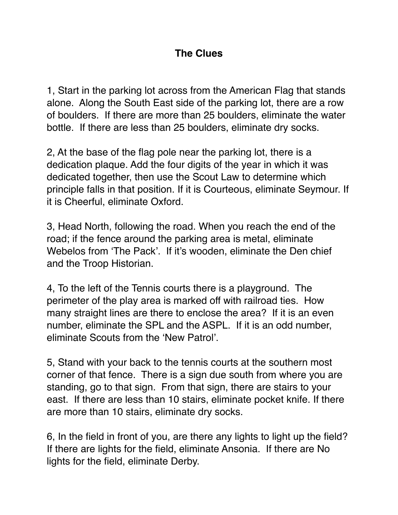## **The Clues**

1, Start in the parking lot across from the American Flag that stands alone. Along the South East side of the parking lot, there are a row of boulders. If there are more than 25 boulders, eliminate the water bottle. If there are less than 25 boulders, eliminate dry socks.

2, At the base of the flag pole near the parking lot, there is a dedication plaque. Add the four digits of the year in which it was dedicated together, then use the Scout Law to determine which principle falls in that position. If it is Courteous, eliminate Seymour. If it is Cheerful, eliminate Oxford.

3, Head North, following the road. When you reach the end of the road; if the fence around the parking area is metal, eliminate Webelos from 'The Pack'. If it's wooden, eliminate the Den chief and the Troop Historian.

4, To the left of the Tennis courts there is a playground. The perimeter of the play area is marked off with railroad ties. How many straight lines are there to enclose the area? If it is an even number, eliminate the SPL and the ASPL. If it is an odd number, eliminate Scouts from the 'New Patrol'.

5, Stand with your back to the tennis courts at the southern most corner of that fence. There is a sign due south from where you are standing, go to that sign. From that sign, there are stairs to your east. If there are less than 10 stairs, eliminate pocket knife. If there are more than 10 stairs, eliminate dry socks.

6, In the field in front of you, are there any lights to light up the field? If there are lights for the field, eliminate Ansonia. If there are No lights for the field, eliminate Derby.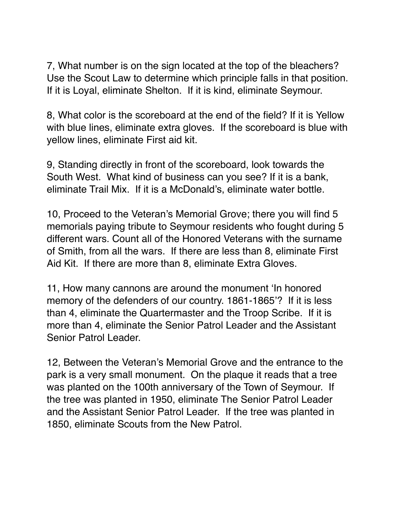7, What number is on the sign located at the top of the bleachers? Use the Scout Law to determine which principle falls in that position. If it is Loyal, eliminate Shelton. If it is kind, eliminate Seymour.

8, What color is the scoreboard at the end of the field? If it is Yellow with blue lines, eliminate extra gloves. If the scoreboard is blue with yellow lines, eliminate First aid kit.

9, Standing directly in front of the scoreboard, look towards the South West. What kind of business can you see? If it is a bank, eliminate Trail Mix. If it is a McDonald's, eliminate water bottle.

10, Proceed to the Veteran's Memorial Grove; there you will find 5 memorials paying tribute to Seymour residents who fought during 5 different wars. Count all of the Honored Veterans with the surname of Smith, from all the wars. If there are less than 8, eliminate First Aid Kit. If there are more than 8, eliminate Extra Gloves.

11, How many cannons are around the monument 'In honored memory of the defenders of our country. 1861-1865'? If it is less than 4, eliminate the Quartermaster and the Troop Scribe. If it is more than 4, eliminate the Senior Patrol Leader and the Assistant Senior Patrol Leader.

12, Between the Veteran's Memorial Grove and the entrance to the park is a very small monument. On the plaque it reads that a tree was planted on the 100th anniversary of the Town of Seymour. If the tree was planted in 1950, eliminate The Senior Patrol Leader and the Assistant Senior Patrol Leader. If the tree was planted in 1850, eliminate Scouts from the New Patrol.